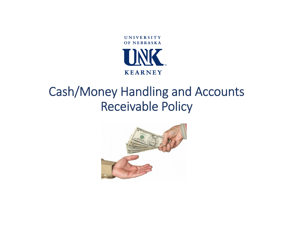

# Cash/Money Handling and Accounts Receivable Policy

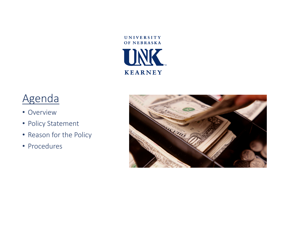

## Agenda

- Overview
- Policy Statement
- Reason for the Policy
- Procedures

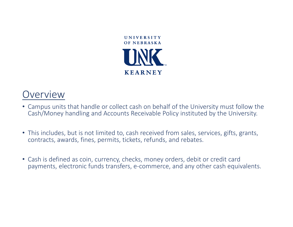

#### Overview

- Campus units that handle or collect cash on behalf of the University must follow the Cash/Money handling and Accounts Receivable Policy instituted by the University.
- This includes, but is not limited to, cash received from sales, services, gifts, grants, contracts, awards, fines, permits, tickets, refunds, and rebates.
- Cash is defined as coin, currency, checks, money orders, debit or credit card payments, electronic funds transfers, <sup>e</sup>‐commerce, and any other cash equivalents.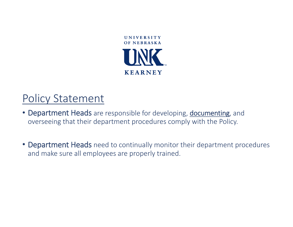

### Policy Statement

- Department Heads are responsible for developing, documenting, and overseeing that their department procedures comply with the Policy.
- Department Heads need to continually monitor their department procedures and make sure all employees are properly trained.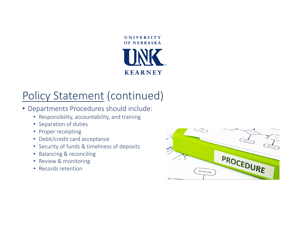

- Departments Procedures should include:
	- Responsibility, accountability, and training
	- Separation of duties
	- Proper receipting
	- Debit/credit card acceptance
	- Security of funds & timeliness of deposits
	- Balancing & reconciling
	- Review & monitoring
	- Records retention

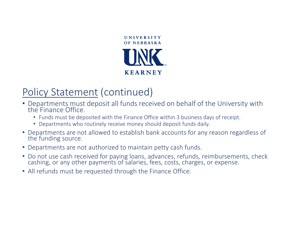

- Departments must deposit all funds received on behalf of the University with<br>the Finance Office. Finance Office.
	- Funds must be deposited with the Finance Office within 3 business days of receipt.
	- Departments who routinely receive money should deposit funds daily.
- Departments are not allowed to establish bank accounts for any reason regardless of<br>the funding source. the funding source.
- Departments are not authorized to maintain petty cash funds.
- Docashing, or any other payments of salaries, fees, costs, charges, or expense.
- All refunds must be requested through the Finance Office.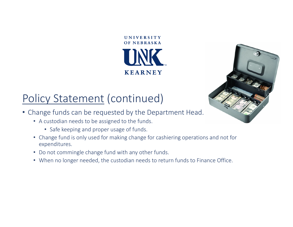

**UNIVERSITY** 



- Change funds can be requested by the Department Head.
	- A custodian needs to be assigned to the funds.
		- Safe keeping and proper usage of funds.
	- Change fund is only used for making change for cashiering operations and not for expenditures.
	- Do not commingle change fund with any other funds.
	- When no longer needed, the custodian needs to return funds to Finance Office.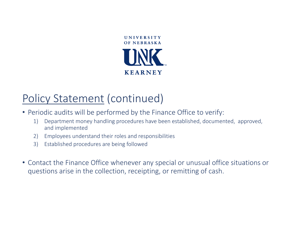

- Periodic audits will be performed by the Finance Office to verify:
	- 1) Department money handling procedures have been established, documented, approved, and implemented
	- 2) Employees understand their roles and responsibilities
	- 3) Established procedures are being followed
- Contact the Finance Office whenever any special or unusual office situations or questions arise in the collection, receipting, or remitting of cash.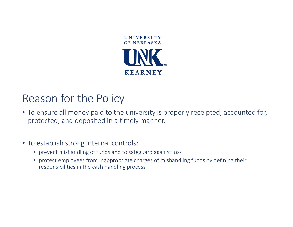

## Reason for the Policy

• To ensure all money paid to the university is properly receipted, accounted for, protected, and deposited in <sup>a</sup> timely manner.

#### • To establish strong internal controls:

- prevent mishandling of funds and to safeguard against loss
- protect employees from inappropriate charges of mishandling funds by defining their responsibilities in the cash handling process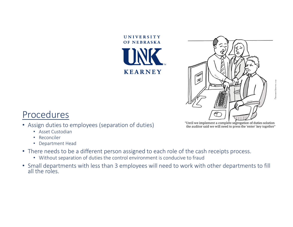

UNIVERSITY



#### Procedures

- Assign duties to employees (separation of duties)
	- Asset Custodian
	- Reconciler
	- Department Head
- There needs to be <sup>a</sup> different person assigned to each role of the cash receipts process.
	- Without separation of duties the control environment is conducive to fraud
- Small departments with less than 3 employees will need to work with other departments to fill<br>all the roles.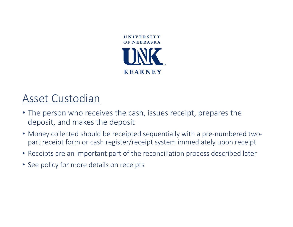

#### Asset Custodian

- The person who receives the cash, issues receipt, prepares the deposit, and makes the deposit
- Money collected should be receipted sequentially with <sup>a</sup> pre‐numbered two‐ part receipt form or cash register/receipt system immediately upon receipt
- Receipts are an important part of the reconciliation process described later
- See policy for more details on receipts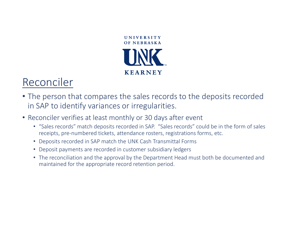

### Reconciler

- The person that compares the sales records to the deposits recorded in SAP to identify variances or irregularities.
- Reconciler verifies at least monthly or 30 days after event
	- "Sales records" match deposits recorded in SAP. "Sales records" could be in the form of sales receipts, pre‐numbered tickets, attendance rosters, registrations forms, etc.
	- Deposits recorded in SAP match the UNK Cash Transmittal Forms
	- Deposit payments are recorded in customer subsidiary ledgers
	- The reconciliation and the approval by the Department Head must both be documented and maintained for the appropriate record retention period.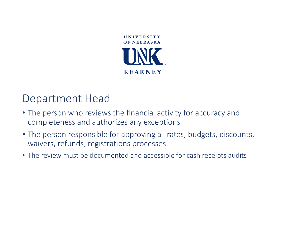

### Department Head

- The person who reviews the financial activity for accuracy and completeness and authorizes any exceptions
- The person responsible for approving all rates, budgets, discounts, waivers, refunds, registrations processes.
- The review must be documented and accessible for cash receipts audits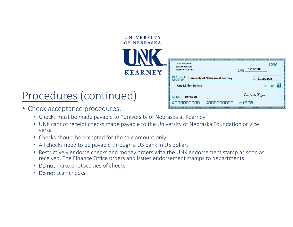| UNIVERSITY  |  |  |  |  |
|-------------|--|--|--|--|
| OF NEBRASKA |  |  |  |  |



## Procedures (continued)

- Check acceptance procedures:
	- Checks must be made payable to "University of Nebraska at Kearney"
	- UNK cannot receipt checks made payable to the University of Nebraska Foundation or vice versa
	- Checks should be accepted for the sale amount only
	- All checks need to be payable through a US bank in US dollars
	- Restrictively endorse checks and money orders with the UNK endorsement stamp as soon as received. The Finance Office orders and issues endorsement stamps to departments.
	- Do not make photocopies of checks
	- Do not scan checks

| $\sim$ maximum $\sim$ maximum $\sim$ maximum $\sim$<br>Louie the Loper<br>1234 Loper Lane<br>Kearney, NE 68847 | $m$ $\sim$ $m$ $\sim$ $m$ $\sim$ $m$ $\sim$ $m$ $\sim$ $m$ $\sim$ $m$ $\sim$ $m$ $\sim$ $m$ $\sim$ $m$<br>$\overline{\phantom{m}}$ movements<br>1206<br>1/1/20XX<br><b>DATE</b> |
|----------------------------------------------------------------------------------------------------------------|---------------------------------------------------------------------------------------------------------------------------------------------------------------------------------|
| PAY TO THE ORDER OF<br>University of Nebraska at Kearney                                                       | \$1,000,000                                                                                                                                                                     |
| <b>One Million Dollars</b>                                                                                     | DOLLARS <b>R</b>                                                                                                                                                                |
| MEMO Donation                                                                                                  | Louie the Loper                                                                                                                                                                 |
| 000000000:<br>000000000:                                                                                       | <b>#1206</b>                                                                                                                                                                    |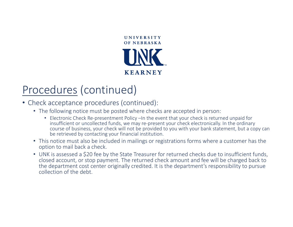

## Procedures (continued)

- Check acceptance procedures (continued):
	- The following notice must be posted where checks are accepted in person:
		- Electronic Check Re‐presentment Policy –In the event that your check is returned unpaid for insufficient or uncollected funds, we may re‐present your check electronically. In the ordinary course of business, your check will not be provided to you with your bank statement, but a copy can be retrieved by contacting your financial institution.
	- This notice must also be included in mailings or registrations forms where a customer has the option to mail back a check.
	- UNK is assessed a \$20 fee by the State Treasurer for returned checks due to insufficient funds, closed account, or stop payment. The returned check amount and fee will be charged back to the department cost center originally credited. It is the department's responsibility to pursue collection of the debt.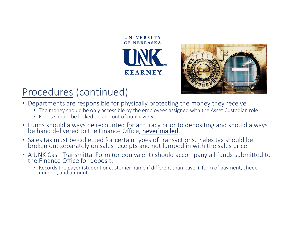



#### Procedures (continued)

- Departments are responsible for physically protecting the money they receive
	- The money should be only accessible by the employees assigned with the Asset Custodian role
	- Funds should be locked up and out of public view
- Funds should always be recounted for accuracy prior to depositing and should always<br>be hand delivered to the Finance Office, never mailed.
- Sales tax must be collected for certain types of transactions. Sales tax should be broken out separately on sales receipts and not lumped in with the sales price. broken out separately on sales receipts and not lumped in with the sales price.
- A UNK Cash Transmittal Form (or equivalent) should accompany all funds submitted to thethe Finance Office for deposit:
	- Records the payer (student or customer name if different than payer), form of payment, check number, and amount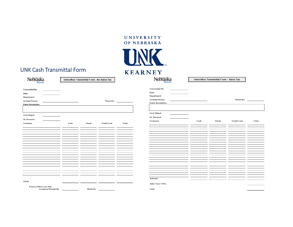#### UNIVERSITY OF NEBRASKA



#### UNK Cash Transmittal Form

Customer Receipt No.

Nebraska

Interoffice Transmittal Form - No Sales Tax

Nebraska

**Interoffice Transmittal Form - Sales Tax** 

|                                 |      |                          |                    |                | <b>Transmittal No.</b>   |
|---------------------------------|------|--------------------------|--------------------|----------------|--------------------------|
| <b>Transmittal No.</b>          |      |                          |                    |                | Date:                    |
| Date:                           |      |                          |                    |                |                          |
| <b>Department:</b>              |      |                          |                    |                | Department:              |
| <b>Contact Person:</b>          |      |                          | Phone No.          |                | <b>Contact Person</b>    |
| <b>Event description:</b>       |      |                          |                    |                | <b>Event description</b> |
|                                 |      |                          |                    |                |                          |
|                                 |      |                          |                    |                |                          |
|                                 |      |                          |                    |                | <b>Cost Object:</b>      |
| <b>Cost Object:</b>             |      |                          |                    |                | <b>GL Account:</b>       |
| <b>GL Account:</b>              |      |                          |                    |                | <b>Customer</b>          |
| <b>Customer</b>                 | Cash | <b>Check</b>             | <b>Credit Card</b> | Total          |                          |
|                                 |      | $\overline{\phantom{a}}$ |                    |                |                          |
|                                 |      |                          |                    |                |                          |
|                                 |      |                          |                    |                |                          |
|                                 |      |                          |                    |                |                          |
|                                 |      |                          |                    |                |                          |
|                                 |      |                          |                    |                |                          |
|                                 |      |                          |                    |                |                          |
|                                 |      |                          |                    |                |                          |
|                                 |      |                          |                    |                |                          |
|                                 |      |                          |                    |                |                          |
|                                 |      |                          |                    |                |                          |
|                                 |      |                          |                    |                |                          |
|                                 |      |                          |                    |                |                          |
|                                 |      |                          |                    |                |                          |
|                                 |      | - 1                      | - -                | _ _            |                          |
|                                 |      |                          |                    |                |                          |
|                                 |      |                          |                    |                |                          |
|                                 |      |                          |                    |                | <b>Subtotal</b>          |
| <b>Totals</b>                   | $=$  | $=$<br>- 2               | $\equiv$<br>$=$    | $\overline{a}$ |                          |
|                                 |      |                          |                    |                | Sales Tax (7.0%          |
| <b>Finance Office Use Only:</b> |      |                          |                    |                |                          |

Batch No.

| Department:               |           |       |                    |               |  |
|---------------------------|-----------|-------|--------------------|---------------|--|
| <b>Contact Person:</b>    | Phone No. |       |                    |               |  |
| <b>Event description:</b> |           |       |                    |               |  |
|                           |           |       |                    |               |  |
| <b>Cost Object:</b>       |           |       |                    |               |  |
| <b>GL Account:</b>        |           |       |                    |               |  |
| <b>Customer</b>           | Cash      | Check | <b>Credit Card</b> | <b>T</b> otal |  |
|                           |           |       |                    |               |  |
|                           |           |       |                    |               |  |
|                           |           |       |                    |               |  |
|                           |           |       |                    |               |  |
|                           |           |       |                    |               |  |
|                           |           |       |                    |               |  |
|                           |           |       |                    |               |  |
|                           |           |       |                    |               |  |
|                           |           |       |                    |               |  |
|                           |           |       |                    |               |  |
|                           |           |       |                    |               |  |
|                           |           |       |                    |               |  |
|                           |           |       |                    |               |  |
|                           |           |       |                    |               |  |
| Subtotal                  |           |       |                    |               |  |
|                           |           |       |                    |               |  |
| <b>Sales Tax (7.0%)</b>   |           |       |                    |               |  |
| <b>Total</b>              |           |       |                    | ۰             |  |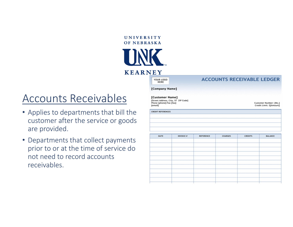



YOUR LOGO HERE

**CREDIT REFERENCES** 

#### **ACCOUNTS RECEIVABLE LEDGER**

[Company Name]

### Accounts Receivables

- Applies to departments that bill the customer after the service or goods are provided.
- Departments that collect payments prior to or at the time of service do not need to record accounts receivables.

[Customer Name] [Street Address, City, ST ZIP Code] Phone [phone] Fax [fax] [email]

Customer Number: [No.] Credit Limit: \$[Amount]

| DATE | <b>INVOICE #</b> | <b>REFERENCE</b> | <b>CHARGES</b> | <b>CREDITS</b> | <b>BALANCE</b> |
|------|------------------|------------------|----------------|----------------|----------------|
|      |                  |                  |                |                |                |
|      |                  |                  |                |                |                |
|      |                  |                  |                |                |                |
|      |                  |                  |                |                |                |
|      |                  |                  |                |                |                |
|      |                  |                  |                |                |                |
|      |                  |                  |                |                |                |
|      |                  |                  |                |                |                |
|      |                  |                  |                |                |                |
|      |                  |                  |                |                |                |
|      |                  |                  |                |                |                |
|      |                  |                  |                |                |                |
|      |                  |                  |                |                |                |
|      |                  |                  |                |                |                |
|      |                  |                  |                |                |                |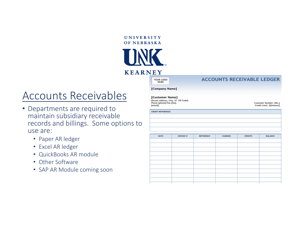



YOUR LOGO HERE

#### **ACCOUNTS RECEIVABLE LEDGER**

#### [Company Name]

#### Accounts Receivables

- Departments are required to maintain subsidiary receivable records and billings. Some options to use are:
	- Paper AR ledger
	- Excel AR ledger
	- QuickBooks AR module
	- Other Software
	- SAP AR Module coming soon

[Customer Name] [Street Address, City, ST ZIP Code] Phone [phone] Fax [fax] [email]

Customer Number: [No.] Credit Limit: \$[Amount]

**CREDIT REFERENCES** 

| DATE | <b>INVOICE #</b> | <b>REFERENCE</b> | <b>CHARGES</b> | <b>CREDITS</b> | <b>BALANCE</b> |
|------|------------------|------------------|----------------|----------------|----------------|
|      |                  |                  |                |                |                |
|      |                  |                  |                |                |                |
|      |                  |                  |                |                |                |
|      |                  |                  |                |                |                |
|      |                  |                  |                |                |                |
|      |                  |                  |                |                |                |
|      |                  |                  |                |                |                |
|      |                  |                  |                |                |                |
|      |                  |                  |                |                |                |
|      |                  |                  |                |                |                |
|      |                  |                  |                |                |                |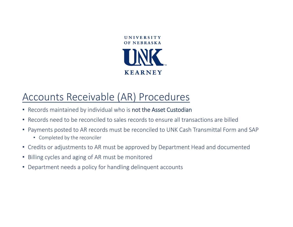

#### Accounts Receivable (AR) Procedures

- Records maintained by individual who is not the Asset Custodian
- Records need to be reconciled to sales records to ensure all transactions are billed
- Payments posted to AR records must be reconciled to UNK Cash Transmittal Form and SAP
	- Completed by the reconciler
- Credits or adjustments to AR must be approved by Department Head and documented
- Billing cycles and aging of AR must be monitored
- Department needs <sup>a</sup> policy for handling delinquent accounts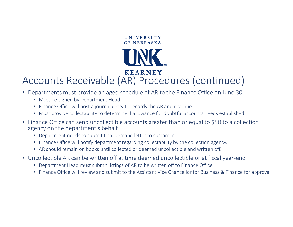

#### **KEARNEY** Accounts Receivable (AR) Procedures (continued)

- Departments must provide an aged schedule of AR to the Finance Office on June 30.
	- Must be signed by Department Head
	- Finance Office will post <sup>a</sup> journal entry to records the AR and revenue.
	- Must provide collectability to determine if allowance for doubtful accounts needs established
- Finance Office can send uncollectible accounts greater than or equal to \$50 to <sup>a</sup> collection agency on the department's behalf
	- Department needs to submit final demand letter to customer
	- Finance Office will notify department regarding collectability by the collection agency.
	- AR should remain on books until collected or deemed uncollectible and written off.
- Uncollectible AR can be written off at time deemed uncollectible or at fiscal year‐end
	- Department Head must submit listings of AR to be written off to Finance Office
	- Finance Office will review and submit to the Assistant Vice Chancellor for Business & Finance for approval